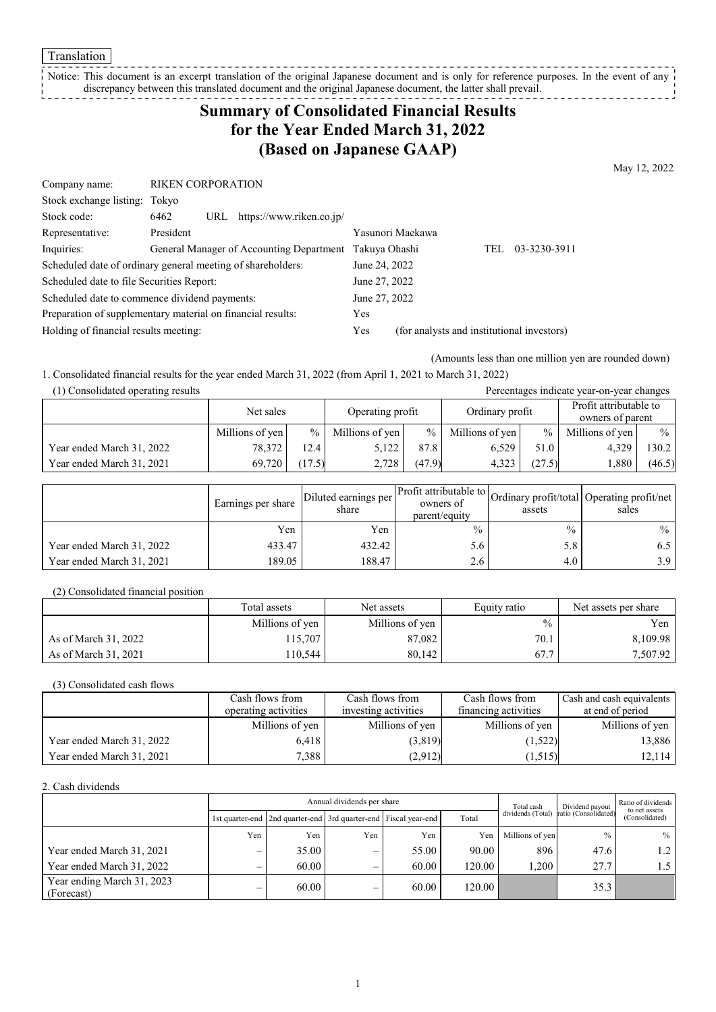**Translation** 

#### Notice: This document is an excerpt translation of the original Japanese document and is only for reference purposes. In the event of any discrepancy between this translated document and the original Japanese document, the latter shall prevail. \_ \_ \_ \_ \_ \_ \_ \_

# **Summary of Consolidated Financial Results for the Year Ended March 31, 2022 (Based on Japanese GAAP)**

May 12, 2022

| Company name:                                               | <b>RIKEN CORPORATION</b> |     |                                          |               |                                            |     |              |
|-------------------------------------------------------------|--------------------------|-----|------------------------------------------|---------------|--------------------------------------------|-----|--------------|
| Stock exchange listing: Tokyo                               |                          |     |                                          |               |                                            |     |              |
| Stock code:                                                 | 6462                     | URL | https://www.riken.co.jp/                 |               |                                            |     |              |
| Representative:                                             | President                |     |                                          |               | Yasunori Maekawa                           |     |              |
| Inquiries:                                                  |                          |     | General Manager of Accounting Department | Takuya Ohashi |                                            | TEL | 03-3230-3911 |
| Scheduled date of ordinary general meeting of shareholders: |                          |     |                                          | June 24, 2022 |                                            |     |              |
| Scheduled date to file Securities Report:                   |                          |     |                                          | June 27, 2022 |                                            |     |              |
| Scheduled date to commence dividend payments:               |                          |     |                                          | June 27, 2022 |                                            |     |              |
| Preparation of supplementary material on financial results: |                          | Yes |                                          |               |                                            |     |              |
| Holding of financial results meeting:                       |                          |     |                                          | Yes           | (for analysts and institutional investors) |     |              |

(Amounts less than one million yen are rounded down)

1. Consolidated financial results for the year ended March 31, 2022 (from April 1, 2021 to March 31, 2022)

(1) Consolidated operating results Percentages indicate year-on-year changes

|                           | Net sales       |               | Ordinary profit<br>Operating profit |        |                 | Profit attributable to<br>owners of parent |                 |        |  |
|---------------------------|-----------------|---------------|-------------------------------------|--------|-----------------|--------------------------------------------|-----------------|--------|--|
|                           | Millions of yen | $\frac{0}{0}$ | Millions of yen                     | $\%$   | Millions of yen | $\frac{0}{0}$                              | Millions of yen | $\%$   |  |
| Year ended March 31, 2022 | 78,372          | 2.4           | 5.122                               | 87.8   | 6.529           | 51.0                                       | 4.329           | 130.2  |  |
| Year ended March 31, 2021 | 69,720          | (17.5)        | 2.728                               | (47.9) | 4.323           | (27.5)                                     | .880            | (46.5) |  |

|                           | Earnings per share | Diluted earnings per<br>share | owners of<br>parent/equity | assets        | Ner Profit attributable to Ordinary profit/total Operating profit/net '<br>sales |
|---------------------------|--------------------|-------------------------------|----------------------------|---------------|----------------------------------------------------------------------------------|
|                           | Yen                | Yen                           | $\frac{0}{0}$              | $\frac{0}{0}$ | $\frac{0}{0}$                                                                    |
| Year ended March 31, 2022 | 433.47             | 432.42                        | 5.6                        | 5.8           | 0.5                                                                              |
| Year ended March 31, 2021 | 189.05             | 188.47                        | 2.6                        | 4.0           | 3.9                                                                              |

(2) Consolidated financial position

|                      | Total assets    | Net assets      | Equity ratio  | Net assets per share |
|----------------------|-----------------|-----------------|---------------|----------------------|
|                      | Millions of yen | Millions of yen | $\frac{0}{0}$ | Yen                  |
| As of March 31, 2022 | 115.707         | 87,082          | 70.1          | 8,109.98             |
| As of March 31, 2021 | 10,544          | 80.142          | 67.7          | 7,507.92             |

(3) Consolidated cash flows

|                           | Cash flows from      | Cash flows from      | Cash flows from      | Cash and cash equivalents |
|---------------------------|----------------------|----------------------|----------------------|---------------------------|
|                           | operating activities | investing activities | financing activities | at end of period          |
|                           | Millions of yen      | Millions of yen      | Millions of yen      | Millions of yen           |
| Year ended March 31, 2022 | 6.418                | (3,819)              | (1,522)              | 13,886                    |
| Year ended March 31, 2021 | 7,388                | (2,912)              | (1,515)              | 12,114                    |

2. Cash dividends

|                                          | Annual dividends per share |                                                                       |     |       |          | Total cash        | Dividend payout      | Ratio of dividends<br>to net assets |  |
|------------------------------------------|----------------------------|-----------------------------------------------------------------------|-----|-------|----------|-------------------|----------------------|-------------------------------------|--|
|                                          |                            | 1st quarter-end   2nd quarter-end   3rd quarter-end   Fiscal year-end |     |       | Total    | dividends (Total) | ratio (Consolidated) | (Consolidated)                      |  |
|                                          | Yen                        | Yen                                                                   | Yen | Yen   | Yen      | Millions of yen   | $\frac{0}{0}$        | $%$                                 |  |
| Year ended March 31, 2021                |                            | 35.00                                                                 | –   | 55.00 | 90.00    | 896               | 47.6                 | $1.2 \square$                       |  |
| Year ended March 31, 2022                |                            | 60.00                                                                 |     | 60.00 | 120.00 l | 1.200             | 27.7                 | 1.5 <sub>1</sub>                    |  |
| Year ending March 31, 2023<br>(Forecast) |                            | 60.00                                                                 | –   | 60.00 | 120.00   |                   | 35.3                 |                                     |  |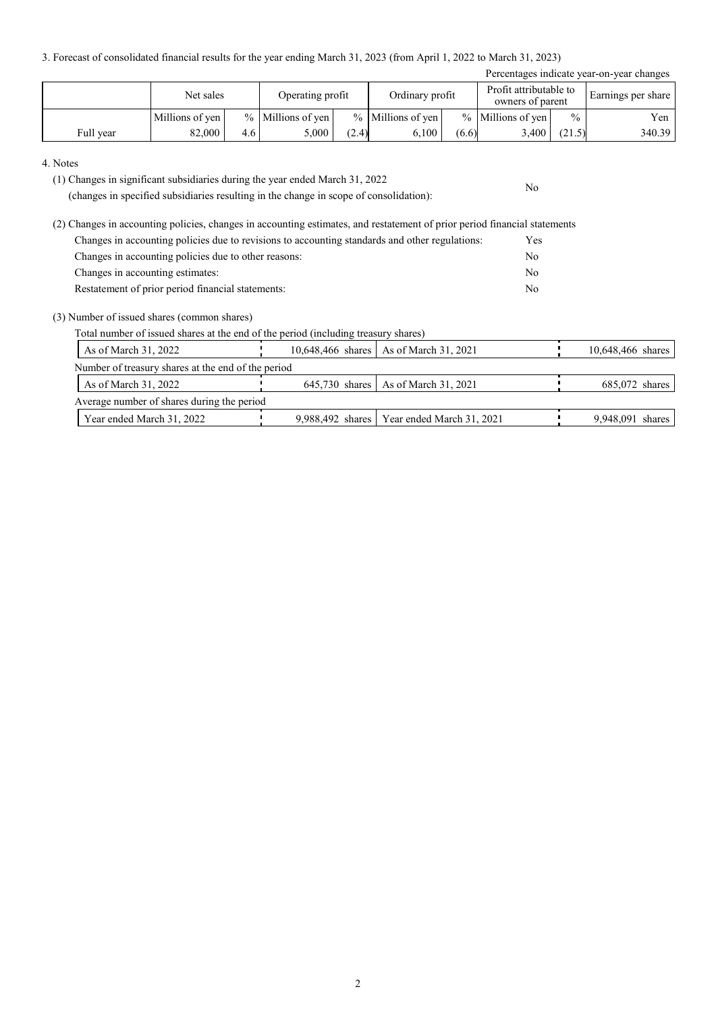3. Forecast of consolidated financial results for the year ending March 31, 2023 (from April 1, 2022 to March 31, 2023)

| Percentages indicate year-on-year changes |                                                  |     |                     |       |                     |       |                                            |               |                    |
|-------------------------------------------|--------------------------------------------------|-----|---------------------|-------|---------------------|-------|--------------------------------------------|---------------|--------------------|
|                                           | Ordinary profit<br>Net sales<br>Operating profit |     |                     |       |                     |       | Profit attributable to<br>owners of parent |               | Earnings per share |
|                                           | Millions of yen                                  |     | $%$ Millions of yen |       | $%$ Millions of yen |       | $%$ Millions of yen                        | $\frac{0}{0}$ | Yen                |
| Full year                                 | 82,000                                           | 4.6 | 5.000               | (2.4) | 6.100               | (6.6) | 3.400                                      | (21.5)        | 340.39             |

No

#### 4. Notes

(1) Changes in significant subsidiaries during the year ended March 31, 2022

(changes in specified subsidiaries resulting in the change in scope of consolidation):

(2) Changes in accounting policies, changes in accounting estimates, and restatement of prior period financial statements Changes in accounting policies due to revisions to accounting standards and other regulations: Yes Changes in accounting policies due to other reasons: No Changes in accounting estimates: No Restatement of prior period financial statements: No

#### (3) Number of issued shares (common shares)

Total number of issued shares at the end of the period (including treasury shares)

|                                                    | As of March 31, 2022                       |  |  | 10,648,466 shares   As of March 31, 2021     |  | 10,648,466 shares |  |  |  |
|----------------------------------------------------|--------------------------------------------|--|--|----------------------------------------------|--|-------------------|--|--|--|
| Number of treasury shares at the end of the period |                                            |  |  |                                              |  |                   |  |  |  |
|                                                    | As of March 31, 2022                       |  |  | 645,730 shares   As of March 31, 2021        |  | $685,072$ shares  |  |  |  |
|                                                    | Average number of shares during the period |  |  |                                              |  |                   |  |  |  |
|                                                    | Year ended March 31, 2022                  |  |  | 9,988,492 shares   Year ended March 31, 2021 |  | 9,948,091 shares  |  |  |  |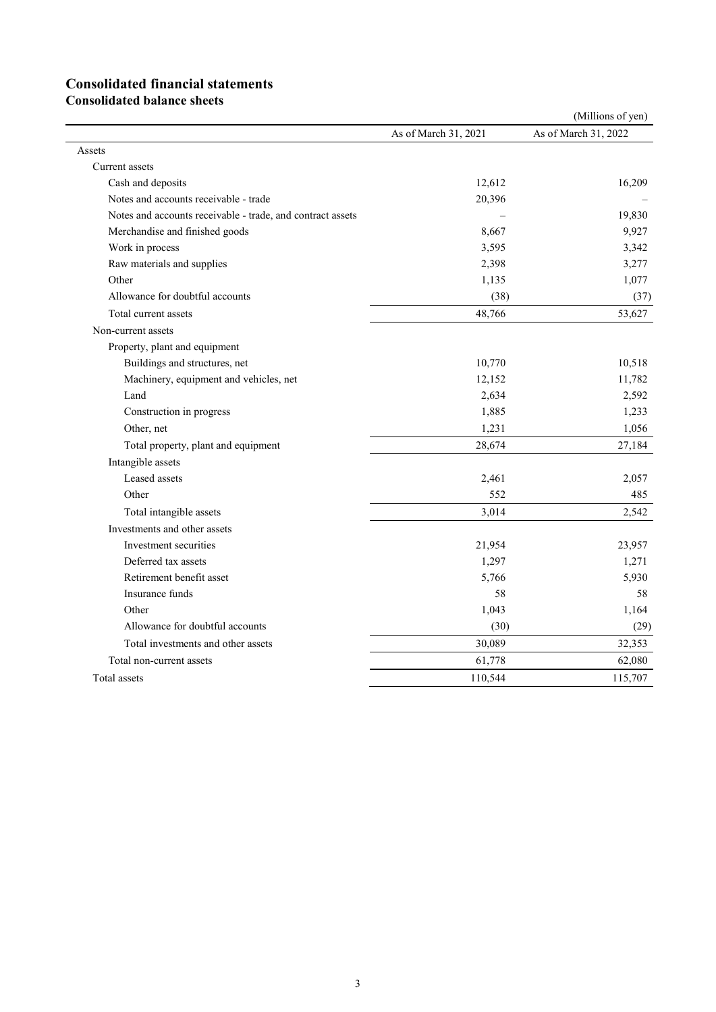# **Consolidated financial statements**

**Consolidated balance sheets**

|                                                            |                      | (Millions of yen)    |
|------------------------------------------------------------|----------------------|----------------------|
|                                                            | As of March 31, 2021 | As of March 31, 2022 |
| Assets                                                     |                      |                      |
| Current assets                                             |                      |                      |
| Cash and deposits                                          | 12,612               | 16,209               |
| Notes and accounts receivable - trade                      | 20,396               |                      |
| Notes and accounts receivable - trade, and contract assets |                      | 19,830               |
| Merchandise and finished goods                             | 8,667                | 9,927                |
| Work in process                                            | 3,595                | 3,342                |
| Raw materials and supplies                                 | 2,398                | 3,277                |
| Other                                                      | 1,135                | 1,077                |
| Allowance for doubtful accounts                            | (38)                 | (37)                 |
| Total current assets                                       | 48,766               | 53,627               |
| Non-current assets                                         |                      |                      |
| Property, plant and equipment                              |                      |                      |
| Buildings and structures, net                              | 10,770               | 10,518               |
| Machinery, equipment and vehicles, net                     | 12,152               | 11,782               |
| Land                                                       | 2,634                | 2,592                |
| Construction in progress                                   | 1,885                | 1,233                |
| Other, net                                                 | 1,231                | 1,056                |
| Total property, plant and equipment                        | 28,674               | 27,184               |
| Intangible assets                                          |                      |                      |
| Leased assets                                              | 2,461                | 2,057                |
| Other                                                      | 552                  | 485                  |
| Total intangible assets                                    | 3,014                | 2,542                |
| Investments and other assets                               |                      |                      |
| Investment securities                                      | 21,954               | 23,957               |
| Deferred tax assets                                        | 1,297                | 1,271                |
| Retirement benefit asset                                   | 5,766                | 5,930                |
| Insurance funds                                            | 58                   | 58                   |
| Other                                                      | 1,043                | 1,164                |
| Allowance for doubtful accounts                            | (30)                 | (29)                 |
| Total investments and other assets                         | 30,089               | 32,353               |
| Total non-current assets                                   | 61,778               | 62,080               |
| Total assets                                               | 110,544              | 115,707              |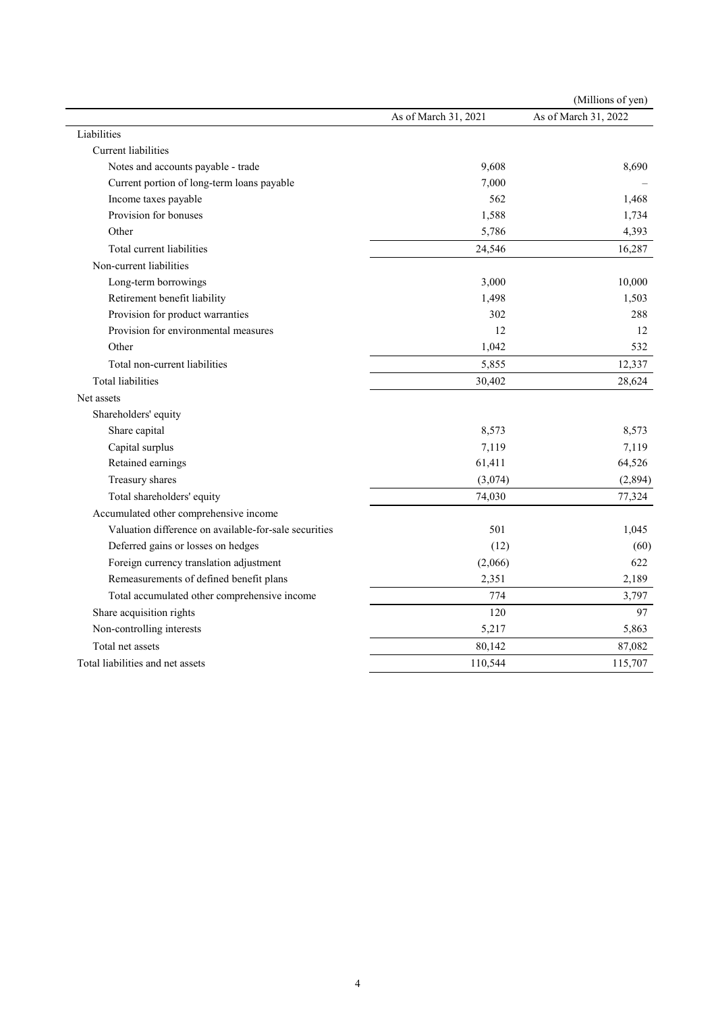|                                                       |                      | (Millions of yen)    |
|-------------------------------------------------------|----------------------|----------------------|
|                                                       | As of March 31, 2021 | As of March 31, 2022 |
| Liabilities                                           |                      |                      |
| <b>Current</b> liabilities                            |                      |                      |
| Notes and accounts payable - trade                    | 9,608                | 8,690                |
| Current portion of long-term loans payable            | 7,000                |                      |
| Income taxes payable                                  | 562                  | 1,468                |
| Provision for bonuses                                 | 1,588                | 1,734                |
| Other                                                 | 5,786                | 4,393                |
| Total current liabilities                             | 24,546               | 16,287               |
| Non-current liabilities                               |                      |                      |
| Long-term borrowings                                  | 3,000                | 10,000               |
| Retirement benefit liability                          | 1,498                | 1,503                |
| Provision for product warranties                      | 302                  | 288                  |
| Provision for environmental measures                  | 12                   | 12                   |
| Other                                                 | 1,042                | 532                  |
| Total non-current liabilities                         | 5,855                | 12,337               |
| <b>Total liabilities</b>                              | 30,402               | 28,624               |
| Net assets                                            |                      |                      |
| Shareholders' equity                                  |                      |                      |
| Share capital                                         | 8,573                | 8,573                |
| Capital surplus                                       | 7,119                | 7,119                |
| Retained earnings                                     | 61,411               | 64,526               |
| Treasury shares                                       | (3,074)              | (2,894)              |
| Total shareholders' equity                            | 74,030               | 77,324               |
| Accumulated other comprehensive income                |                      |                      |
| Valuation difference on available-for-sale securities | 501                  | 1,045                |
| Deferred gains or losses on hedges                    | (12)                 | (60)                 |
| Foreign currency translation adjustment               | (2,066)              | 622                  |
| Remeasurements of defined benefit plans               | 2,351                | 2,189                |
| Total accumulated other comprehensive income          | 774                  | 3,797                |
| Share acquisition rights                              | 120                  | 97                   |
| Non-controlling interests                             | 5,217                | 5,863                |
| Total net assets                                      | 80,142               | 87,082               |
| Total liabilities and net assets                      | 110,544              | 115,707              |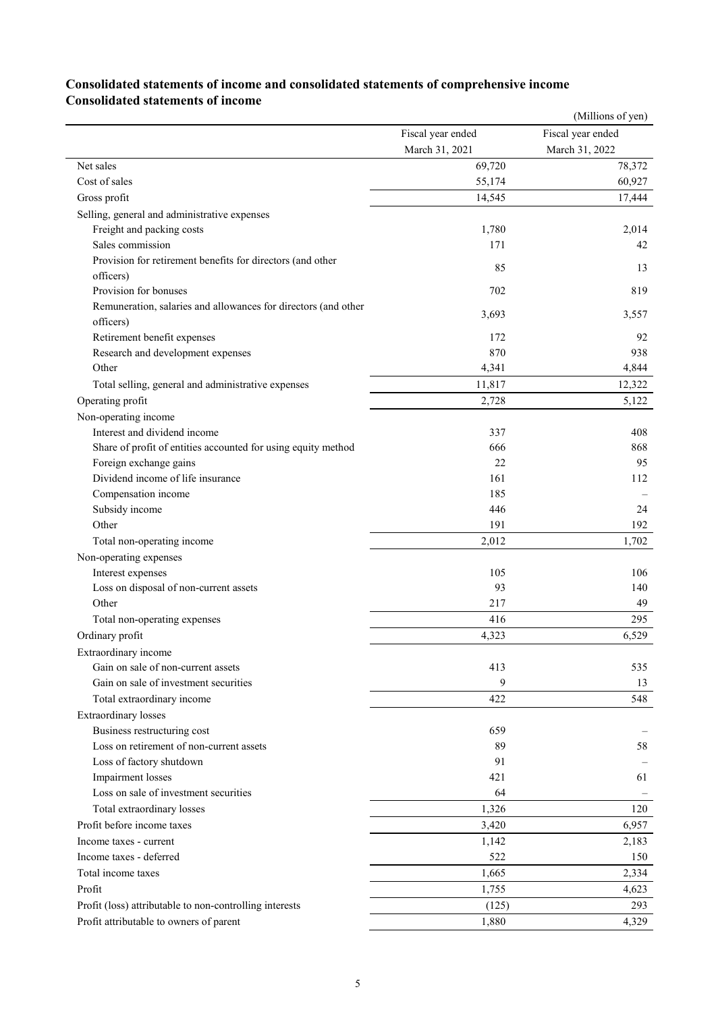## **Consolidated statements of income and consolidated statements of comprehensive income Consolidated statements of income**

|                                                                |                   | (Millions of yen) |
|----------------------------------------------------------------|-------------------|-------------------|
|                                                                | Fiscal year ended | Fiscal year ended |
|                                                                | March 31, 2021    | March 31, 2022    |
| Net sales                                                      | 69,720            | 78,372            |
| Cost of sales                                                  | 55,174            | 60,927            |
| Gross profit                                                   | 14,545            | 17,444            |
| Selling, general and administrative expenses                   |                   |                   |
| Freight and packing costs                                      | 1,780             | 2,014             |
| Sales commission                                               | 171               | 42                |
| Provision for retirement benefits for directors (and other     | 85                | 13                |
| officers)                                                      |                   |                   |
| Provision for bonuses                                          | 702               | 819               |
| Remuneration, salaries and allowances for directors (and other | 3,693             | 3,557             |
| officers)                                                      |                   |                   |
| Retirement benefit expenses                                    | 172               | 92                |
| Research and development expenses                              | 870               | 938               |
| Other                                                          | 4,341             | 4,844             |
| Total selling, general and administrative expenses             | 11,817            | 12,322            |
| Operating profit                                               | 2,728             | 5,122             |
| Non-operating income                                           |                   |                   |
| Interest and dividend income                                   | 337               | 408               |
| Share of profit of entities accounted for using equity method  | 666               | 868               |
| Foreign exchange gains                                         | 22                | 95                |
| Dividend income of life insurance                              | 161               | 112               |
| Compensation income                                            | 185               |                   |
| Subsidy income                                                 | 446               | 24                |
| Other                                                          | 191               | 192               |
| Total non-operating income                                     | 2,012             | 1,702             |
| Non-operating expenses                                         |                   |                   |
| Interest expenses                                              | 105               | 106               |
| Loss on disposal of non-current assets                         | 93                | 140               |
| Other                                                          | 217               | 49                |
| Total non-operating expenses                                   | 416               | 295               |
| Ordinary profit                                                | 4,323             | 6,529             |
| Extraordinary income                                           |                   |                   |
| Gain on sale of non-current assets                             | 413               | 535               |
| Gain on sale of investment securities                          | 9                 | 13                |
| Total extraordinary income                                     | 422               | 548               |
| <b>Extraordinary losses</b>                                    |                   |                   |
| Business restructuring cost                                    | 659               |                   |
| Loss on retirement of non-current assets                       | 89                | 58                |
| Loss of factory shutdown                                       | 91                |                   |
| Impairment losses                                              | 421               | 61                |
| Loss on sale of investment securities                          | 64                |                   |
| Total extraordinary losses                                     | 1,326             | 120               |
| Profit before income taxes                                     | 3,420             | 6,957             |
| Income taxes - current                                         | 1,142             | 2,183             |
| Income taxes - deferred                                        | 522               | 150               |
| Total income taxes                                             | 1,665             | 2,334             |
| Profit                                                         | 1,755             | 4,623             |
| Profit (loss) attributable to non-controlling interests        | (125)             | 293               |
| Profit attributable to owners of parent                        | 1,880             | 4,329             |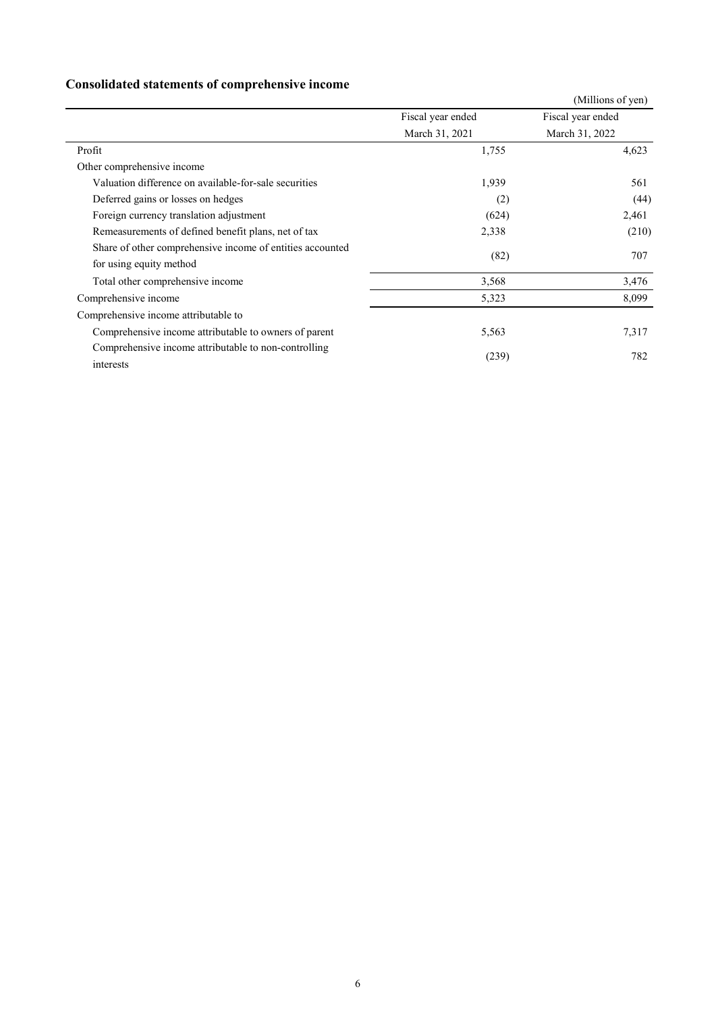# **Consolidated statements of comprehensive income**

|                                                                   |                   | (Millions of yen) |
|-------------------------------------------------------------------|-------------------|-------------------|
|                                                                   | Fiscal year ended | Fiscal year ended |
|                                                                   | March 31, 2021    | March 31, 2022    |
| Profit                                                            | 1,755             | 4,623             |
| Other comprehensive income                                        |                   |                   |
| Valuation difference on available-for-sale securities             | 1,939             | 561               |
| Deferred gains or losses on hedges                                | (2)               | (44)              |
| Foreign currency translation adjustment                           | (624)             | 2,461             |
| Remeasurements of defined benefit plans, net of tax               | 2,338             | (210)             |
| Share of other comprehensive income of entities accounted         | (82)              | 707               |
| for using equity method                                           |                   |                   |
| Total other comprehensive income                                  | 3,568             | 3,476             |
| Comprehensive income                                              | 5,323             | 8,099             |
| Comprehensive income attributable to                              |                   |                   |
| Comprehensive income attributable to owners of parent             | 5,563             | 7,317             |
| Comprehensive income attributable to non-controlling<br>interests | (239)             | 782               |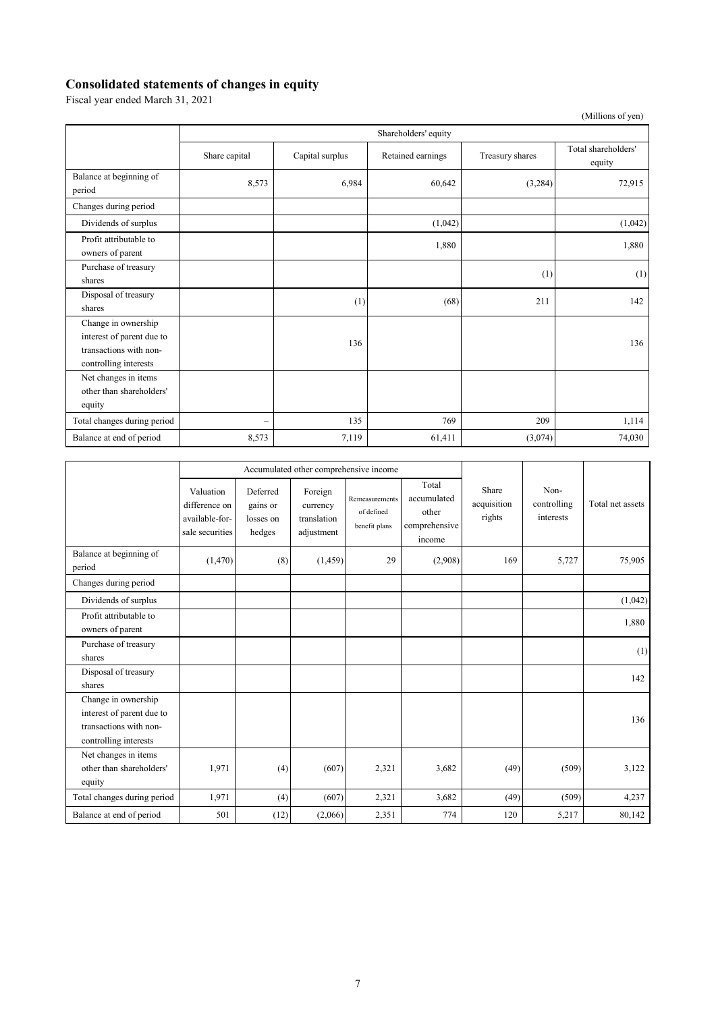### **Consolidated statements of changes in equity**

Fiscal year ended March 31, 2021

|                                                                                                     |                          |                 |                   |                 | (Millions of yen)             |  |  |  |
|-----------------------------------------------------------------------------------------------------|--------------------------|-----------------|-------------------|-----------------|-------------------------------|--|--|--|
|                                                                                                     | Shareholders' equity     |                 |                   |                 |                               |  |  |  |
|                                                                                                     | Share capital            | Capital surplus | Retained earnings | Treasury shares | Total shareholders'<br>equity |  |  |  |
| Balance at beginning of<br>period                                                                   | 8,573                    | 6,984           | 60,642            | (3,284)         | 72,915                        |  |  |  |
| Changes during period                                                                               |                          |                 |                   |                 |                               |  |  |  |
| Dividends of surplus                                                                                |                          |                 | (1,042)           |                 | (1,042)                       |  |  |  |
| Profit attributable to<br>owners of parent                                                          |                          |                 | 1,880             |                 | 1,880                         |  |  |  |
| Purchase of treasury<br>shares                                                                      |                          |                 |                   | (1)             | (1)                           |  |  |  |
| Disposal of treasury<br>shares                                                                      |                          | (1)             | (68)              | 211             | 142                           |  |  |  |
| Change in ownership<br>interest of parent due to<br>transactions with non-<br>controlling interests |                          | 136             |                   |                 | 136                           |  |  |  |
| Net changes in items<br>other than shareholders'<br>equity                                          |                          |                 |                   |                 |                               |  |  |  |
| Total changes during period                                                                         | $\overline{\phantom{0}}$ | 135             | 769               | 209             | 1,114                         |  |  |  |
| Balance at end of period                                                                            | 8,573                    | 7,119           | 61,411            | (3,074)         | 74,030                        |  |  |  |

|                                                                                                     | Accumulated other comprehensive income                          |                                             |                                                  |                                               |                                                          |                                |                                  |                  |
|-----------------------------------------------------------------------------------------------------|-----------------------------------------------------------------|---------------------------------------------|--------------------------------------------------|-----------------------------------------------|----------------------------------------------------------|--------------------------------|----------------------------------|------------------|
|                                                                                                     | Valuation<br>difference on<br>available-for-<br>sale securities | Deferred<br>gains or<br>losses on<br>hedges | Foreign<br>currency<br>translation<br>adjustment | Remeasurements<br>of defined<br>benefit plans | Total<br>accumulated<br>other<br>comprehensive<br>income | Share<br>acquisition<br>rights | Non-<br>controlling<br>interests | Total net assets |
| Balance at beginning of<br>period                                                                   | (1,470)                                                         | (8)                                         | (1, 459)                                         | 29                                            | (2,908)                                                  | 169                            | 5,727                            | 75,905           |
| Changes during period                                                                               |                                                                 |                                             |                                                  |                                               |                                                          |                                |                                  |                  |
| Dividends of surplus                                                                                |                                                                 |                                             |                                                  |                                               |                                                          |                                |                                  | (1,042)          |
| Profit attributable to<br>owners of parent                                                          |                                                                 |                                             |                                                  |                                               |                                                          |                                |                                  | 1,880            |
| Purchase of treasury<br>shares                                                                      |                                                                 |                                             |                                                  |                                               |                                                          |                                |                                  | (1)              |
| Disposal of treasury<br>shares                                                                      |                                                                 |                                             |                                                  |                                               |                                                          |                                |                                  | 142              |
| Change in ownership<br>interest of parent due to<br>transactions with non-<br>controlling interests |                                                                 |                                             |                                                  |                                               |                                                          |                                |                                  | 136              |
| Net changes in items<br>other than shareholders'<br>equity                                          | 1,971                                                           | (4)                                         | (607)                                            | 2,321                                         | 3,682                                                    | (49)                           | (509)                            | 3,122            |
| Total changes during period                                                                         | 1,971                                                           | (4)                                         | (607)                                            | 2,321                                         | 3,682                                                    | (49)                           | (509)                            | 4,237            |
| Balance at end of period                                                                            | 501                                                             | (12)                                        | (2,066)                                          | 2,351                                         | 774                                                      | 120                            | 5,217                            | 80,142           |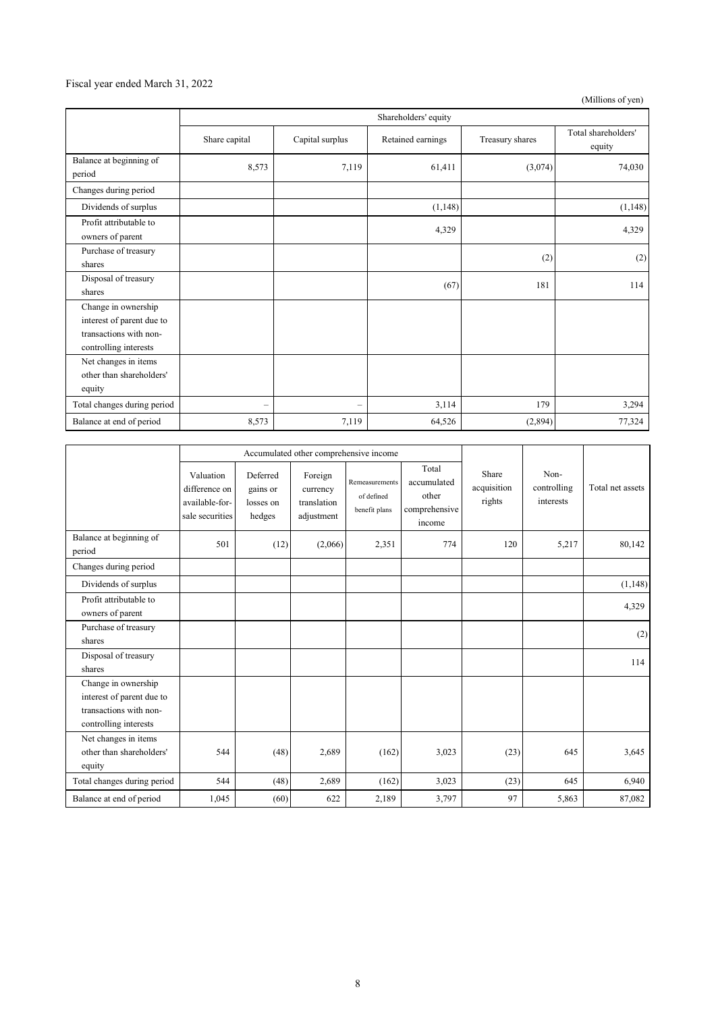### Fiscal year ended March 31, 2022

(Millions of yen)

|                                                                                                     | Shareholders' equity     |                          |                   |                 |                               |  |  |
|-----------------------------------------------------------------------------------------------------|--------------------------|--------------------------|-------------------|-----------------|-------------------------------|--|--|
|                                                                                                     | Share capital            | Capital surplus          | Retained earnings | Treasury shares | Total shareholders'<br>equity |  |  |
| Balance at beginning of<br>period                                                                   | 8,573                    | 7,119                    | 61,411            | (3,074)         | 74,030                        |  |  |
| Changes during period                                                                               |                          |                          |                   |                 |                               |  |  |
| Dividends of surplus                                                                                |                          |                          | (1,148)           |                 | (1, 148)                      |  |  |
| Profit attributable to<br>owners of parent                                                          |                          |                          | 4,329             |                 | 4,329                         |  |  |
| Purchase of treasury<br>shares                                                                      |                          |                          |                   | (2)             | (2)                           |  |  |
| Disposal of treasury<br>shares                                                                      |                          |                          | (67)              | 181             | 114                           |  |  |
| Change in ownership<br>interest of parent due to<br>transactions with non-<br>controlling interests |                          |                          |                   |                 |                               |  |  |
| Net changes in items<br>other than shareholders'<br>equity                                          |                          |                          |                   |                 |                               |  |  |
| Total changes during period                                                                         | $\overline{\phantom{a}}$ | $\overline{\phantom{0}}$ | 3,114             | 179             | 3,294                         |  |  |
| Balance at end of period                                                                            | 8,573                    | 7,119                    | 64,526            | (2,894)         | 77,324                        |  |  |

|                                                                                                     | Accumulated other comprehensive income                          |                                             |                                                  |                                               |                                                          |                                |                                  |                  |
|-----------------------------------------------------------------------------------------------------|-----------------------------------------------------------------|---------------------------------------------|--------------------------------------------------|-----------------------------------------------|----------------------------------------------------------|--------------------------------|----------------------------------|------------------|
|                                                                                                     | Valuation<br>difference on<br>available-for-<br>sale securities | Deferred<br>gains or<br>losses on<br>hedges | Foreign<br>currency<br>translation<br>adjustment | Remeasurements<br>of defined<br>benefit plans | Total<br>accumulated<br>other<br>comprehensive<br>income | Share<br>acquisition<br>rights | Non-<br>controlling<br>interests | Total net assets |
| Balance at beginning of<br>period                                                                   | 501                                                             | (12)                                        | (2,066)                                          | 2,351                                         | 774                                                      | 120                            | 5,217                            | 80,142           |
| Changes during period                                                                               |                                                                 |                                             |                                                  |                                               |                                                          |                                |                                  |                  |
| Dividends of surplus                                                                                |                                                                 |                                             |                                                  |                                               |                                                          |                                |                                  | (1, 148)         |
| Profit attributable to<br>owners of parent                                                          |                                                                 |                                             |                                                  |                                               |                                                          |                                |                                  | 4,329            |
| Purchase of treasury<br>shares                                                                      |                                                                 |                                             |                                                  |                                               |                                                          |                                |                                  | (2)              |
| Disposal of treasury<br>shares                                                                      |                                                                 |                                             |                                                  |                                               |                                                          |                                |                                  | 114              |
| Change in ownership<br>interest of parent due to<br>transactions with non-<br>controlling interests |                                                                 |                                             |                                                  |                                               |                                                          |                                |                                  |                  |
| Net changes in items<br>other than shareholders'<br>equity                                          | 544                                                             | (48)                                        | 2,689                                            | (162)                                         | 3,023                                                    | (23)                           | 645                              | 3,645            |
| Total changes during period                                                                         | 544                                                             | (48)                                        | 2,689                                            | (162)                                         | 3,023                                                    | (23)                           | 645                              | 6,940            |
| Balance at end of period                                                                            | 1,045                                                           | (60)                                        | 622                                              | 2,189                                         | 3,797                                                    | 97                             | 5,863                            | 87,082           |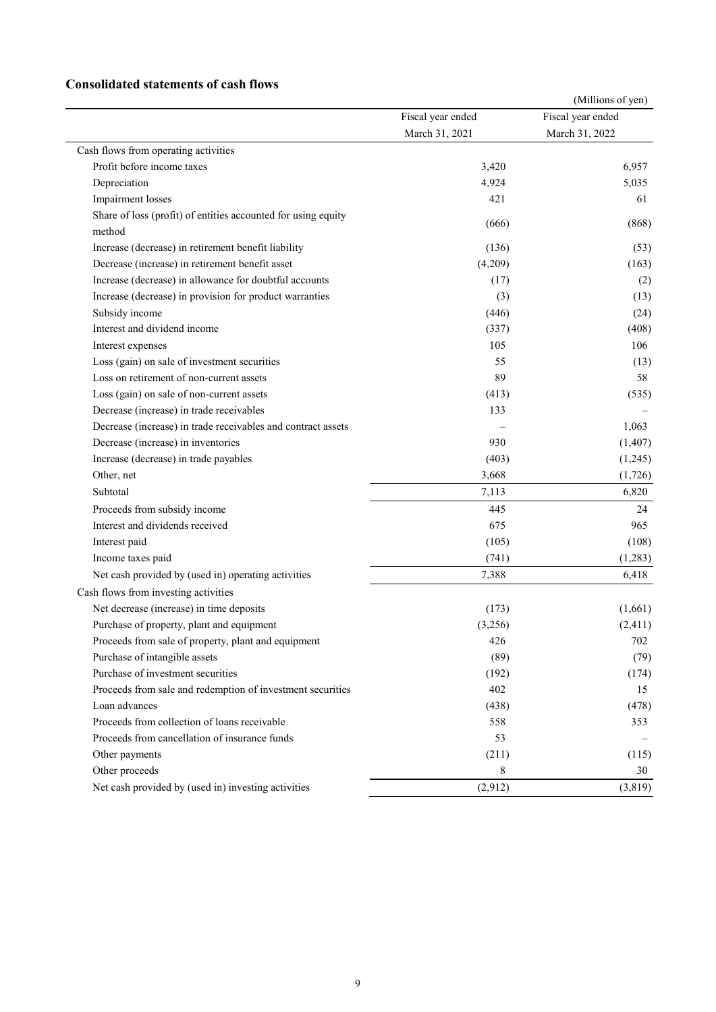## **Consolidated statements of cash flows**

|                                                               |                   | (Millions of yen) |
|---------------------------------------------------------------|-------------------|-------------------|
|                                                               | Fiscal year ended | Fiscal year ended |
|                                                               | March 31, 2021    | March 31, 2022    |
| Cash flows from operating activities                          |                   |                   |
| Profit before income taxes                                    | 3,420             | 6,957             |
| Depreciation                                                  | 4,924             | 5,035             |
| Impairment losses                                             | 421               | 61                |
| Share of loss (profit) of entities accounted for using equity | (666)             | (868)             |
| method                                                        |                   |                   |
| Increase (decrease) in retirement benefit liability           | (136)             | (53)              |
| Decrease (increase) in retirement benefit asset               | (4,209)           | (163)             |
| Increase (decrease) in allowance for doubtful accounts        | (17)              | (2)               |
| Increase (decrease) in provision for product warranties       | (3)               | (13)              |
| Subsidy income                                                | (446)             | (24)              |
| Interest and dividend income                                  | (337)             | (408)             |
| Interest expenses                                             | 105               | 106               |
| Loss (gain) on sale of investment securities                  | 55                | (13)              |
| Loss on retirement of non-current assets                      | 89                | 58                |
| Loss (gain) on sale of non-current assets                     | (413)             | (535)             |
| Decrease (increase) in trade receivables                      | 133               |                   |
| Decrease (increase) in trade receivables and contract assets  |                   | 1,063             |
| Decrease (increase) in inventories                            | 930               | (1, 407)          |
| Increase (decrease) in trade payables                         | (403)             | (1,245)           |
| Other, net                                                    | 3,668             | (1,726)           |
| Subtotal                                                      | 7,113             | 6,820             |
| Proceeds from subsidy income                                  | 445               | 24                |
| Interest and dividends received                               | 675               | 965               |
| Interest paid                                                 | (105)             | (108)             |
| Income taxes paid                                             | (741)             | (1,283)           |
| Net cash provided by (used in) operating activities           | 7,388             | 6,418             |
| Cash flows from investing activities                          |                   |                   |
| Net decrease (increase) in time deposits                      | (173)             | (1,661)           |
| Purchase of property, plant and equipment                     | (3,256)           | (2, 411)          |
| Proceeds from sale of property, plant and equipment           | 426               | 702               |
| Purchase of intangible assets                                 | (89)              | (79)              |
| Purchase of investment securities                             | (192)             | (174)             |
| Proceeds from sale and redemption of investment securities    | 402               | 15                |
| Loan advances                                                 | (438)             | (478)             |
| Proceeds from collection of loans receivable                  | 558               | 353               |
| Proceeds from cancellation of insurance funds                 | 53                |                   |
| Other payments                                                | (211)             | (115)             |
| Other proceeds                                                | 8                 | 30                |
| Net cash provided by (used in) investing activities           | (2,912)           | (3, 819)          |